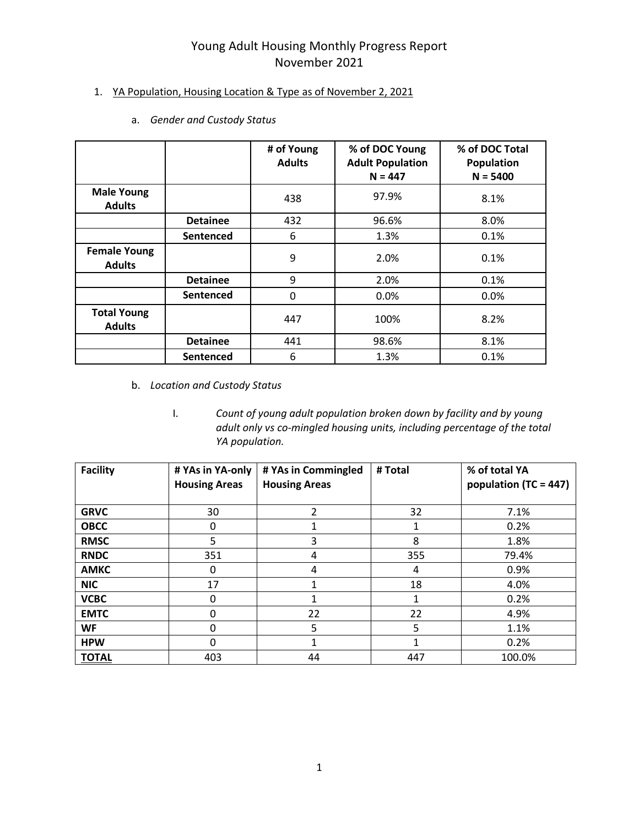### 1. YA Population, Housing Location & Type as of November 2, 2021

|                                      |                 | # of Young<br><b>Adults</b> | % of DOC Young<br><b>Adult Population</b><br>$N = 447$ | % of DOC Total<br>Population<br>$N = 5400$ |
|--------------------------------------|-----------------|-----------------------------|--------------------------------------------------------|--------------------------------------------|
| <b>Male Young</b><br><b>Adults</b>   |                 | 438                         | 97.9%<br>8.1%                                          |                                            |
|                                      | <b>Detainee</b> | 432                         | 96.6%                                                  | 8.0%                                       |
|                                      | Sentenced       | 6                           | 1.3%                                                   | 0.1%                                       |
| <b>Female Young</b><br><b>Adults</b> |                 | 9                           | 2.0%                                                   | 0.1%                                       |
|                                      | <b>Detainee</b> | 9                           | 2.0%                                                   | 0.1%                                       |
|                                      | Sentenced       | 0                           | 0.0%                                                   | 0.0%                                       |
| <b>Total Young</b><br><b>Adults</b>  |                 | 447                         | 100%                                                   | 8.2%                                       |
|                                      | <b>Detainee</b> | 441                         | 98.6%                                                  | 8.1%                                       |
|                                      | Sentenced       | 6                           | 1.3%                                                   | 0.1%                                       |

a. *Gender and Custody Status* 

- b. *Location and Custody Status*
	- I. *Count of young adult population broken down by facility and by young adult only vs co-mingled housing units, including percentage of the total YA population.*

| <b>Facility</b> | # YAs in YA-only<br><b>Housing Areas</b> | # YAs in Commingled<br><b>Housing Areas</b> | # Total | % of total YA<br>population (TC = 447) |
|-----------------|------------------------------------------|---------------------------------------------|---------|----------------------------------------|
| <b>GRVC</b>     | 30                                       | $\overline{\mathcal{L}}$                    | 32      | 7.1%                                   |
| <b>OBCC</b>     | 0                                        |                                             | 1       | 0.2%                                   |
| <b>RMSC</b>     | 5                                        | 3                                           | 8       | 1.8%                                   |
| <b>RNDC</b>     | 351                                      | 4                                           | 355     | 79.4%                                  |
| <b>AMKC</b>     | 0                                        | 4                                           | 4       | 0.9%                                   |
| <b>NIC</b>      | 17                                       |                                             | 18      | 4.0%                                   |
| <b>VCBC</b>     | 0                                        | 1                                           | 1       | 0.2%                                   |
| <b>EMTC</b>     | 0                                        | 22                                          | 22      | 4.9%                                   |
| WF              | 0                                        | 5                                           | 5       | 1.1%                                   |
| <b>HPW</b>      | 0                                        |                                             |         | 0.2%                                   |
| <b>TOTAL</b>    | 403                                      | 44                                          | 447     | 100.0%                                 |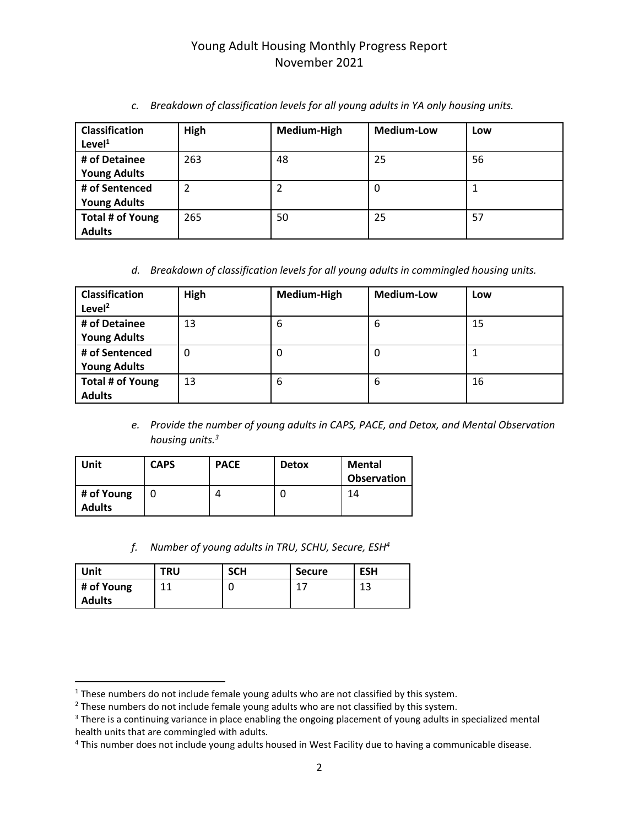| <b>Classification</b><br>Level <sup>1</sup> | High | Medium-High | <b>Medium-Low</b> | Low |
|---------------------------------------------|------|-------------|-------------------|-----|
| # of Detainee                               | 263  | 48          | 25                | 56  |
| <b>Young Adults</b>                         |      |             |                   |     |
| # of Sentenced                              | 2    |             | 0                 |     |
| <b>Young Adults</b>                         |      |             |                   |     |
| Total # of Young                            | 265  | 50          | 25                | 57  |
| <b>Adults</b>                               |      |             |                   |     |

*c. Breakdown of classification levels for all young adults in YA only housing units.*

*d. Breakdown of classification levels for all young adults in commingled housing units.*

| <b>Classification</b><br>Level $^2$ | High | Medium-High | <b>Medium-Low</b> | Low |
|-------------------------------------|------|-------------|-------------------|-----|
| # of Detainee                       | 13   | 6           | 6                 | 15  |
| <b>Young Adults</b>                 |      |             |                   |     |
| # of Sentenced                      | 0    | 0           | 0                 |     |
| <b>Young Adults</b>                 |      |             |                   |     |
| Total # of Young                    | 13   | 6           | 6                 | 16  |
| <b>Adults</b>                       |      |             |                   |     |

*e. Provide the number of young adults in CAPS, PACE, and Detox, and Mental Observation housing units.<sup>3</sup>*

| Unit                        | <b>CAPS</b> | <b>PACE</b> | <b>Detox</b> | Mental<br><b>Observation</b> |
|-----------------------------|-------------|-------------|--------------|------------------------------|
| # of Young<br><b>Adults</b> |             |             |              | 14                           |

*f. Number of young adults in TRU, SCHU, Secure, ESH<sup>4</sup>*

| Unit          | TRU | <b>SCH</b> | <b>Secure</b> | <b>ESH</b> |
|---------------|-----|------------|---------------|------------|
| # of Young    | 11  |            | .             | 1つ<br>⊥J   |
| <b>Adults</b> |     |            |               |            |

 $\overline{\phantom{a}}$ <sup>1</sup> These numbers do not include female young adults who are not classified by this system.

 $2$  These numbers do not include female young adults who are not classified by this system.

<sup>&</sup>lt;sup>3</sup> There is a continuing variance in place enabling the ongoing placement of young adults in specialized mental health units that are commingled with adults.

<sup>&</sup>lt;sup>4</sup> This number does not include young adults housed in West Facility due to having a communicable disease.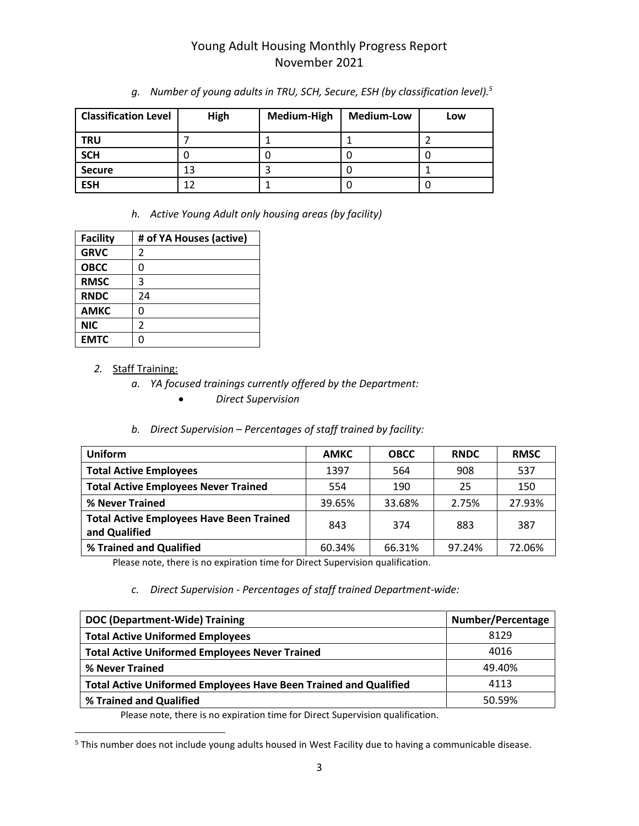| <b>Classification Level</b> | High | Medium-High | <b>Medium-Low</b> | Low |
|-----------------------------|------|-------------|-------------------|-----|
| <b>TRU</b>                  |      |             |                   |     |
| <b>SCH</b>                  |      | U           |                   |     |
| <b>Secure</b>               | 13   |             |                   |     |
| <b>ESH</b>                  | 12   |             |                   |     |

*g. Number of young adults in TRU, SCH, Secure, ESH (by classification level).<sup>5</sup>*

*h. Active Young Adult only housing areas (by facility)*

| <b>Facility</b> | # of YA Houses (active) |
|-----------------|-------------------------|
| <b>GRVC</b>     | 2                       |
| <b>OBCC</b>     | 0                       |
| <b>RMSC</b>     | 3                       |
| <b>RNDC</b>     | 24                      |
| <b>AMKC</b>     | ი                       |
| <b>NIC</b>      | 2                       |
| <b>EMTC</b>     | በ                       |

#### *2.* Staff Training:

 $\overline{\phantom{a}}$ 

- *a. YA focused trainings currently offered by the Department:*
	- *Direct Supervision*

#### *b. Direct Supervision – Percentages of staff trained by facility:*

| <b>Uniform</b>                                                   | <b>AMKC</b> | <b>OBCC</b> | <b>RNDC</b> | <b>RMSC</b> |
|------------------------------------------------------------------|-------------|-------------|-------------|-------------|
| <b>Total Active Employees</b>                                    | 1397        | 564         | 908         | 537         |
| <b>Total Active Employees Never Trained</b>                      | 554         | 190         | 25          | 150         |
| % Never Trained                                                  | 39.65%      | 33.68%      | 2.75%       | 27.93%      |
| <b>Total Active Employees Have Been Trained</b><br>and Qualified | 843         | 374         | 883         | 387         |
| % Trained and Qualified                                          | 60.34%      | 66.31%      | 97.24%      | 72.06%      |

Please note, there is no expiration time for Direct Supervision qualification.

#### *c. Direct Supervision - Percentages of staff trained Department-wide:*

| DOC (Department-Wide) Training                                          | Number/Percentage |
|-------------------------------------------------------------------------|-------------------|
| <b>Total Active Uniformed Employees</b>                                 | 8129              |
| <b>Total Active Uniformed Employees Never Trained</b>                   | 4016              |
| % Never Trained                                                         | 49.40%            |
| <b>Total Active Uniformed Employees Have Been Trained and Qualified</b> | 4113              |
| % Trained and Qualified                                                 | 50.59%            |

Please note, there is no expiration time for Direct Supervision qualification.

<sup>&</sup>lt;sup>5</sup> This number does not include young adults housed in West Facility due to having a communicable disease.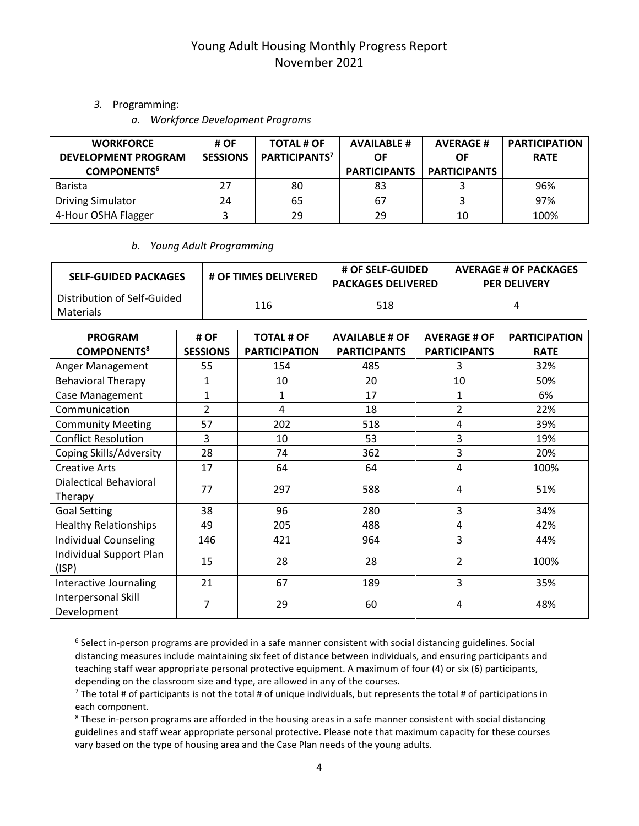#### *3.* Programming:

 $\overline{\phantom{a}}$ 

*a. Workforce Development Programs*

| <b>WORKFORCE</b><br><b>DEVELOPMENT PROGRAM</b><br><b>COMPONENTS<sup>6</sup></b> | # OF<br><b>SESSIONS</b> | <b>TOTAL # OF</b><br>PARTICIPANTS <sup>7</sup> | <b>AVAILABLE #</b><br>ΟF<br><b>PARTICIPANTS</b> | <b>AVERAGE#</b><br>ΟF<br><b>PARTICIPANTS</b> | <b>PARTICIPATION</b><br><b>RATE</b> |
|---------------------------------------------------------------------------------|-------------------------|------------------------------------------------|-------------------------------------------------|----------------------------------------------|-------------------------------------|
| Barista                                                                         | 27                      | 80                                             | 83                                              |                                              | 96%                                 |
| <b>Driving Simulator</b>                                                        | 24                      | 65                                             | 67                                              |                                              | 97%                                 |
| 4-Hour OSHA Flagger                                                             |                         | 29                                             | 29                                              | 10                                           | 100%                                |

#### *b. Young Adult Programming*

| <b>SELF-GUIDED PACKAGES</b>              | <b># OF TIMES DELIVERED</b> |     | <b>AVERAGE # OF PACKAGES</b><br><b>PER DELIVERY</b> |
|------------------------------------------|-----------------------------|-----|-----------------------------------------------------|
| Distribution of Self-Guided<br>Materials | 116                         | 518 |                                                     |

| <b>PROGRAM</b><br><b>COMPONENTS<sup>8</sup></b> | # OF<br><b>SESSIONS</b> | <b>TOTAL # OF</b><br><b>PARTICIPATION</b> | <b>AVAILABLE # OF</b><br><b>PARTICIPANTS</b> | <b>AVERAGE # OF</b><br><b>PARTICIPANTS</b> | <b>PARTICIPATION</b><br><b>RATE</b> |
|-------------------------------------------------|-------------------------|-------------------------------------------|----------------------------------------------|--------------------------------------------|-------------------------------------|
| Anger Management                                | 55                      | 154                                       | 485                                          | 3                                          | 32%                                 |
| <b>Behavioral Therapy</b>                       | 1                       | 10                                        | 20                                           | 10                                         | 50%                                 |
| Case Management                                 | 1                       | 1                                         | 17                                           | $\mathbf{1}$                               | 6%                                  |
| Communication                                   | $\overline{2}$          | 4                                         | 18                                           | $\overline{2}$                             | 22%                                 |
| <b>Community Meeting</b>                        | 57                      | 202                                       | 518                                          | 4                                          | 39%                                 |
| <b>Conflict Resolution</b>                      | 3                       | 10                                        | 53                                           | 3                                          | 19%                                 |
| Coping Skills/Adversity                         | 28                      | 74                                        | 362                                          | 3                                          | 20%                                 |
| <b>Creative Arts</b>                            | 17                      | 64                                        | 64                                           | 4                                          | 100%                                |
| <b>Dialectical Behavioral</b><br>Therapy        | 77                      | 297                                       | 588                                          | 4                                          | 51%                                 |
| <b>Goal Setting</b>                             | 38                      | 96                                        | 280                                          | 3                                          | 34%                                 |
| <b>Healthy Relationships</b>                    | 49                      | 205                                       | 488                                          | 4                                          | 42%                                 |
| <b>Individual Counseling</b>                    | 146                     | 421                                       | 964                                          | 3                                          | 44%                                 |
| Individual Support Plan<br>(ISP)                | 15                      | 28                                        | 28                                           | 2                                          | 100%                                |
| Interactive Journaling                          | 21                      | 67                                        | 189                                          | 3                                          | 35%                                 |
| Interpersonal Skill<br>Development              | 7                       | 29                                        | 60                                           | 4                                          | 48%                                 |

<sup>6</sup> Select in-person programs are provided in a safe manner consistent with social distancing guidelines. Social distancing measures include maintaining six feet of distance between individuals, and ensuring participants and teaching staff wear appropriate personal protective equipment. A maximum of four (4) or six (6) participants, depending on the classroom size and type, are allowed in any of the courses.

 $7$  The total # of participants is not the total # of unique individuals, but represents the total # of participations in each component.

<sup>8</sup> These in-person programs are afforded in the housing areas in a safe manner consistent with social distancing guidelines and staff wear appropriate personal protective. Please note that maximum capacity for these courses vary based on the type of housing area and the Case Plan needs of the young adults.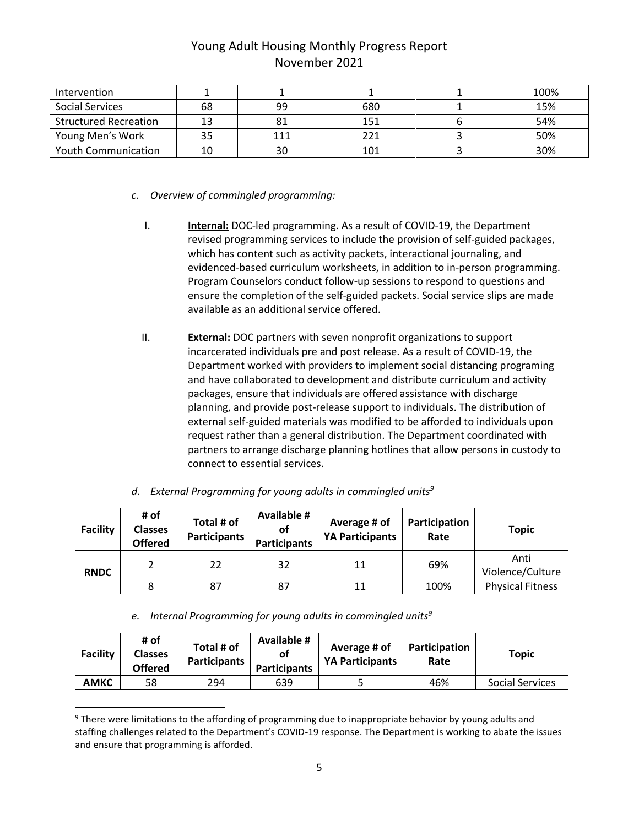| Intervention                 |    |     |     | 100% |
|------------------------------|----|-----|-----|------|
| <b>Social Services</b>       | 68 | 99  | 680 | 15%  |
| <b>Structured Recreation</b> |    | 81  | 151 | 54%  |
| Young Men's Work             | 35 | 111 | 221 | 50%  |
| <b>Youth Communication</b>   | 10 | 30  | 101 | 30%  |

- *c. Overview of commingled programming:*
	- I. **Internal:** DOC-led programming. As a result of COVID-19, the Department revised programming services to include the provision of self-guided packages, which has content such as activity packets, interactional journaling, and evidenced-based curriculum worksheets, in addition to in-person programming. Program Counselors conduct follow-up sessions to respond to questions and ensure the completion of the self-guided packets. Social service slips are made available as an additional service offered.
	- II. **External:** DOC partners with seven nonprofit organizations to support incarcerated individuals pre and post release. As a result of COVID-19, the Department worked with providers to implement social distancing programing and have collaborated to development and distribute curriculum and activity packages, ensure that individuals are offered assistance with discharge planning, and provide post-release support to individuals. The distribution of external self-guided materials was modified to be afforded to individuals upon request rather than a general distribution. The Department coordinated with partners to arrange discharge planning hotlines that allow persons in custody to connect to essential services.

| <b>Facility</b> | # of<br><b>Classes</b><br><b>Offered</b> | Total # of<br>Participants | <b>Available #</b><br>οf<br><b>Participants</b> | Average # of<br><b>YA Participants</b> | Participation<br>Rate | <b>Topic</b>             |
|-----------------|------------------------------------------|----------------------------|-------------------------------------------------|----------------------------------------|-----------------------|--------------------------|
| <b>RNDC</b>     |                                          | 22                         | 32                                              | 11                                     | 69%                   | Anti<br>Violence/Culture |
|                 |                                          | 87                         | 87                                              | 11                                     | 100%                  | <b>Physical Fitness</b>  |

*d. External Programming for young adults in commingled units<sup>9</sup>*

*e. Internal Programming for young adults in commingled units<sup>9</sup>*

 $\overline{a}$ 

| Facility | # of<br><b>Classes</b><br><b>Offered</b> | Total # of<br>Participants | Available #<br>οf<br><b>Participants</b> | Average # of<br><b>YA Participants</b> | Participation<br>Rate | <b>Topic</b>    |
|----------|------------------------------------------|----------------------------|------------------------------------------|----------------------------------------|-----------------------|-----------------|
| AMKC     | 58                                       | 294                        | 639                                      |                                        | 46%                   | Social Services |

<sup>&</sup>lt;sup>9</sup> There were limitations to the affording of programming due to inappropriate behavior by young adults and staffing challenges related to the Department's COVID-19 response. The Department is working to abate the issues and ensure that programming is afforded.